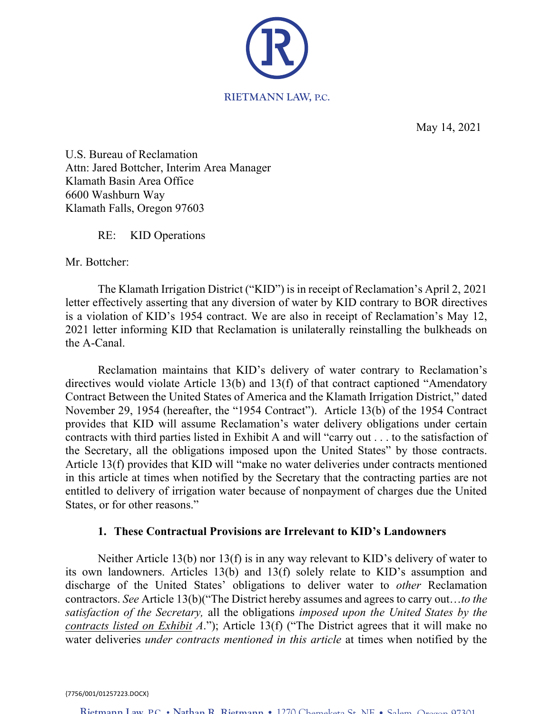

May 14, 2021

Attn: Jared Bottcher, Interim Area Manager Attorney at Law U.S. Bureau of Reclamation Klamath Basin Area Office 6600 Washburn Way Klamath Falls, Oregon 97603

RE: KID Operations

Mr. Bottcher:

The Klamath Irrigation District ("KID") is in receipt of Reclamation's April 2, 2021 letter effectively asserting that any diversion of water by KID contrary to BOR directives is a violation of KID's 1954 contract. We are also in receipt of Reclamation's May 12, 2021 letter informing KID that Reclamation is unilaterally reinstalling the bulkheads on the A-Canal.

Reclamation maintains that KID's delivery of water contrary to Reclamation's directives would violate Article 13(b) and 13(f) of that contract captioned "Amendatory Contract Between the United States of America and the Klamath Irrigation District," dated November 29, 1954 (hereafter, the "1954 Contract"). Article 13(b) of the 1954 Contract provides that KID will assume Reclamation's water delivery obligations under certain contracts with third parties listed in Exhibit A and will "carry out . . . to the satisfaction of the Secretary, all the obligations imposed upon the United States" by those contracts. Article 13(f) provides that KID will "make no water deliveries under contracts mentioned in this article at times when notified by the Secretary that the contracting parties are not entitled to delivery of irrigation water because of nonpayment of charges due the United States, or for other reasons."

## **1. These Contractual Provisions are Irrelevant to KID's Landowners**

Neither Article 13(b) nor 13(f) is in any way relevant to KID's delivery of water to its own landowners. Articles 13(b) and 13(f) solely relate to KID's assumption and discharge of the United States' obligations to deliver water to *other* Reclamation contractors. *See* Article 13(b)("The District hereby assumes and agrees to carry out…*to the satisfaction of the Secretary,* all the obligations *imposed upon the United States by the contracts listed on Exhibit A*."); Article 13(f) ("The District agrees that it will make no water deliveries *under contracts mentioned in this article* at times when notified by the

{7756/001/01257223.DOCX}

**Rietmann Law, P.C. • Nathan R. Rietmann •** 1270 Chemeketa St. NE • Salem, Oregon 97301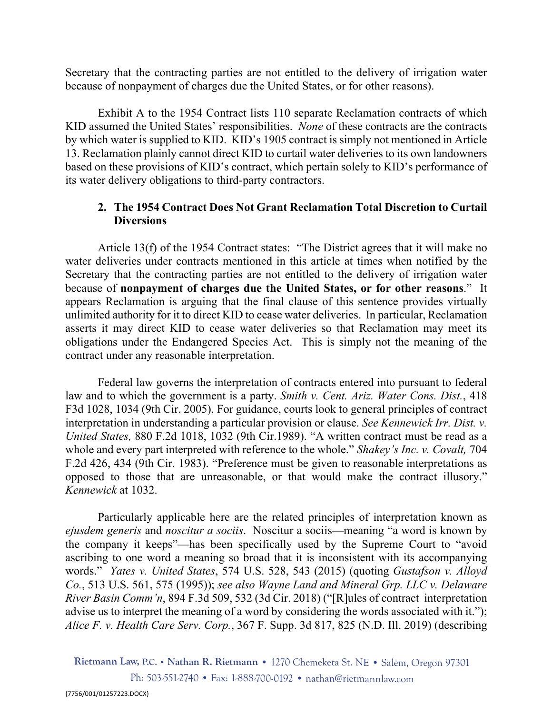Secretary that the contracting parties are not entitled to the delivery of irrigation water because of nonpayment of charges due the United States, or for other reasons).

Exhibit A to the 1954 Contract lists 110 separate Reclamation contracts of which KID assumed the United States' responsibilities. *None* of these contracts are the contracts by which water is supplied to KID. KID's 1905 contract is simply not mentioned in Article 13. Reclamation plainly cannot direct KID to curtail water deliveries to its own landowners based on these provisions of KID's contract, which pertain solely to KID's performance of its water delivery obligations to third-party contractors.

# **2. The 1954 Contract Does Not Grant Reclamation Total Discretion to Curtail Diversions**

Article 13(f) of the 1954 Contract states: "The District agrees that it will make no water deliveries under contracts mentioned in this article at times when notified by the Secretary that the contracting parties are not entitled to the delivery of irrigation water because of **nonpayment of charges due the United States, or for other reasons**." It appears Reclamation is arguing that the final clause of this sentence provides virtually unlimited authority for it to direct KID to cease water deliveries. In particular, Reclamation asserts it may direct KID to cease water deliveries so that Reclamation may meet its obligations under the Endangered Species Act. This is simply not the meaning of the contract under any reasonable interpretation.

Federal law governs the interpretation of contracts entered into pursuant to federal law and to which the government is a party. *Smith v. Cent. Ariz. Water Cons. Dist.*, 418 F3d 1028, 1034 (9th Cir. 2005). For guidance, courts look to general principles of contract interpretation in understanding a particular provision or clause. *See Kennewick Irr. Dist. v. United States,* 880 F.2d 1018, 1032 (9th Cir.1989). "A written contract must be read as a whole and every part interpreted with reference to the whole." *Shakey's Inc. v. Covalt,* 704 F.2d 426, 434 (9th Cir. 1983). "Preference must be given to reasonable interpretations as opposed to those that are unreasonable, or that would make the contract illusory." *Kennewick* at 1032.

Particularly applicable here are the related principles of interpretation known as *ejusdem generis* and *noscitur a sociis*. Noscitur a sociis—meaning "a word is known by the company it keeps"—has been specifically used by the Supreme Court to "avoid ascribing to one word a meaning so broad that it is inconsistent with its accompanying words." *Yates v. United States*, 574 U.S. 528, 543 (2015) (quoting *Gustafson v. Alloyd Co.*, 513 U.S. 561, 575 (1995)); *see also Wayne Land and Mineral Grp. LLC v. Delaware River Basin Comm'n*, 894 F.3d 509, 532 (3d Cir. 2018) ("[R]ules of contract interpretation advise us to interpret the meaning of a word by considering the words associated with it."); *Alice F. v. Health Care Serv. Corp.*, 367 F. Supp. 3d 817, 825 (N.D. Ill. 2019) (describing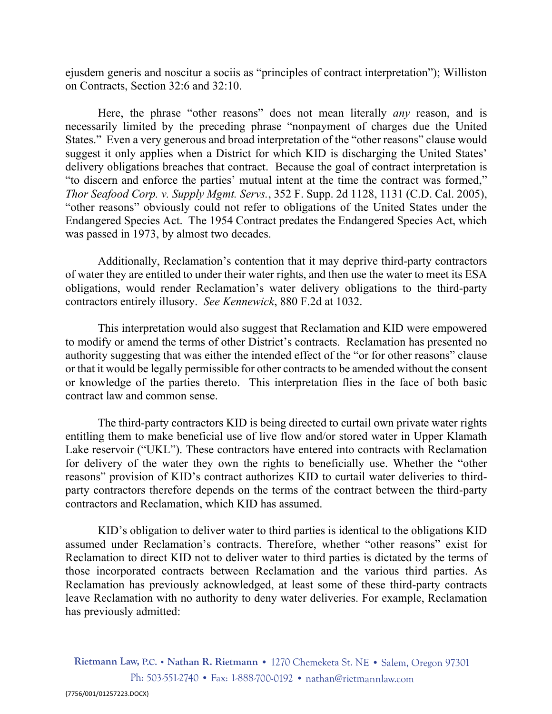ejusdem generis and noscitur a sociis as "principles of contract interpretation"); Williston on Contracts, Section 32:6 and 32:10.

Here, the phrase "other reasons" does not mean literally *any* reason, and is necessarily limited by the preceding phrase "nonpayment of charges due the United States." Even a very generous and broad interpretation of the "other reasons" clause would suggest it only applies when a District for which KID is discharging the United States' delivery obligations breaches that contract. Because the goal of contract interpretation is "to discern and enforce the parties' mutual intent at the time the contract was formed," *Thor Seafood Corp. v. Supply Mgmt. Servs.*, 352 F. Supp. 2d 1128, 1131 (C.D. Cal. 2005), "other reasons" obviously could not refer to obligations of the United States under the Endangered Species Act. The 1954 Contract predates the Endangered Species Act, which was passed in 1973, by almost two decades.

Additionally, Reclamation's contention that it may deprive third-party contractors of water they are entitled to under their water rights, and then use the water to meet its ESA obligations, would render Reclamation's water delivery obligations to the third-party contractors entirely illusory. *See Kennewick*, 880 F.2d at 1032.

This interpretation would also suggest that Reclamation and KID were empowered to modify or amend the terms of other District's contracts. Reclamation has presented no authority suggesting that was either the intended effect of the "or for other reasons" clause or that it would be legally permissible for other contracts to be amended without the consent or knowledge of the parties thereto. This interpretation flies in the face of both basic contract law and common sense.

The third-party contractors KID is being directed to curtail own private water rights entitling them to make beneficial use of live flow and/or stored water in Upper Klamath Lake reservoir ("UKL"). These contractors have entered into contracts with Reclamation for delivery of the water they own the rights to beneficially use. Whether the "other reasons" provision of KID's contract authorizes KID to curtail water deliveries to thirdparty contractors therefore depends on the terms of the contract between the third-party contractors and Reclamation, which KID has assumed.

KID's obligation to deliver water to third parties is identical to the obligations KID assumed under Reclamation's contracts. Therefore, whether "other reasons" exist for Reclamation to direct KID not to deliver water to third parties is dictated by the terms of those incorporated contracts between Reclamation and the various third parties. As Reclamation has previously acknowledged, at least some of these third-party contracts leave Reclamation with no authority to deny water deliveries. For example, Reclamation has previously admitted: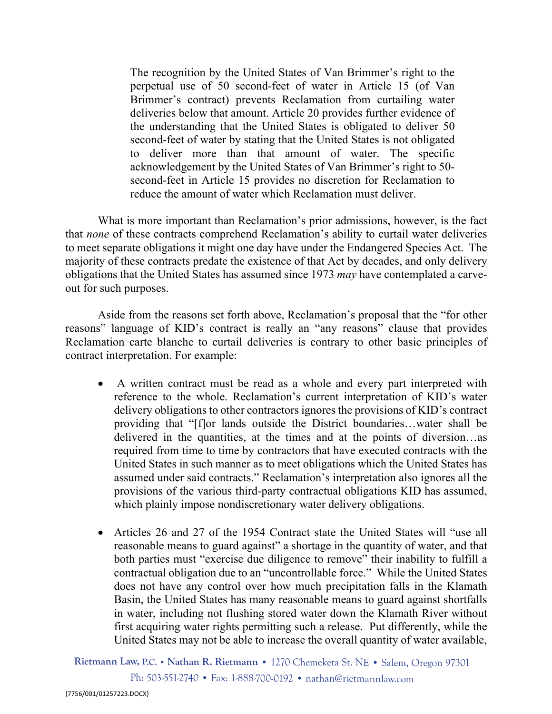deliveries below that amount. Article 20 provides further evidence of the understanding that the United States is obligated to deliver 50 The recognition by the United States of Van Brimmer's right to the perpetual use of 50 second-feet of water in Article 15 (of Van Brimmer's contract) prevents Reclamation from curtailing water second-feet of water by stating that the United States is not obligated to deliver more than that amount of water. The specific acknowledgement by the United States of Van Brimmer's right to 50 second-feet in Article 15 provides no discretion for Reclamation to reduce the amount of water which Reclamation must deliver.

What is more important than Reclamation's prior admissions, however, is the fact that *none* of these contracts comprehend Reclamation's ability to curtail water deliveries to meet separate obligations it might one day have under the Endangered Species Act. The majority of these contracts predate the existence of that Act by decades, and only delivery obligations that the United States has assumed since 1973 *may* have contemplated a carveout for such purposes.

Aside from the reasons set forth above, Reclamation's proposal that the "for other reasons" language of KID's contract is really an "any reasons" clause that provides Reclamation carte blanche to curtail deliveries is contrary to other basic principles of contract interpretation. For example:

- A written contract must be read as a whole and every part interpreted with reference to the whole. Reclamation's current interpretation of KID's water delivery obligations to other contractors ignores the provisions of KID's contract providing that "[f]or lands outside the District boundaries…water shall be delivered in the quantities, at the times and at the points of diversion…as required from time to time by contractors that have executed contracts with the United States in such manner as to meet obligations which the United States has assumed under said contracts." Reclamation's interpretation also ignores all the provisions of the various third-party contractual obligations KID has assumed, which plainly impose nondiscretionary water delivery obligations.
- Articles 26 and 27 of the 1954 Contract state the United States will "use all reasonable means to guard against" a shortage in the quantity of water, and that both parties must "exercise due diligence to remove" their inability to fulfill a contractual obligation due to an "uncontrollable force." While the United States does not have any control over how much precipitation falls in the Klamath Basin, the United States has many reasonable means to guard against shortfalls in water, including not flushing stored water down the Klamath River without first acquiring water rights permitting such a release. Put differently, while the United States may not be able to increase the overall quantity of water available,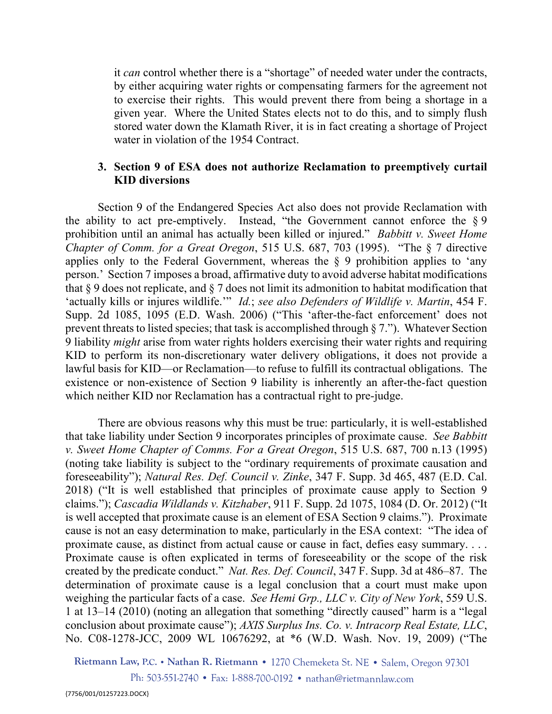given year. Where the United States elects not to do this, and to simply flush stored water down the Klamath River, it is in fact creating a shortage of Project it *can* control whether there is a "shortage" of needed water under the contracts, by either acquiring water rights or compensating farmers for the agreement not to exercise their rights. This would prevent there from being a shortage in a water in violation of the 1954 Contract.

## **3. Section 9 of ESA does not authorize Reclamation to preemptively curtail KID diversions**

Section 9 of the Endangered Species Act also does not provide Reclamation with the ability to act pre-emptively. Instead, "the Government cannot enforce the  $\S 9$ prohibition until an animal has actually been killed or injured." *Babbitt v. Sweet Home Chapter of Comm. for a Great Oregon*, 515 U.S. 687, 703 (1995). "The § 7 directive applies only to the Federal Government, whereas the § 9 prohibition applies to 'any person.' Section 7 imposes a broad, affirmative duty to avoid adverse habitat modifications that § 9 does not replicate, and § 7 does not limit its admonition to habitat modification that 'actually kills or injures wildlife.'" *Id.*; *see also Defenders of Wildlife v. Martin*, 454 F. Supp. 2d 1085, 1095 (E.D. Wash. 2006) ("This 'after-the-fact enforcement' does not prevent threats to listed species; that task is accomplished through § 7."). Whatever Section 9 liability *might* arise from water rights holders exercising their water rights and requiring KID to perform its non-discretionary water delivery obligations, it does not provide a lawful basis for KID—or Reclamation—to refuse to fulfill its contractual obligations. The existence or non-existence of Section 9 liability is inherently an after-the-fact question which neither KID nor Reclamation has a contractual right to pre-judge.

There are obvious reasons why this must be true: particularly, it is well-established that take liability under Section 9 incorporates principles of proximate cause. *See Babbitt v. Sweet Home Chapter of Comms. For a Great Oregon*, 515 U.S. 687, 700 n.13 (1995) (noting take liability is subject to the "ordinary requirements of proximate causation and foreseeability"); *Natural Res. Def. Council v. Zinke*, 347 F. Supp. 3d 465, 487 (E.D. Cal. 2018) ("It is well established that principles of proximate cause apply to Section 9 claims."); *Cascadia Wildlands v. Kitzhaber*, 911 F. Supp. 2d 1075, 1084 (D. Or. 2012) ("It is well accepted that proximate cause is an element of ESA Section 9 claims."). Proximate cause is not an easy determination to make, particularly in the ESA context: "The idea of proximate cause, as distinct from actual cause or cause in fact, defies easy summary. . . . Proximate cause is often explicated in terms of foreseeability or the scope of the risk created by the predicate conduct." *Nat. Res. Def. Council*, 347 F. Supp. 3d at 486–87. The determination of proximate cause is a legal conclusion that a court must make upon weighing the particular facts of a case. *See Hemi Grp., LLC v. City of New York*, 559 U.S. 1 at 13–14 (2010) (noting an allegation that something "directly caused" harm is a "legal conclusion about proximate cause"); *AXIS Surplus Ins. Co. v. Intracorp Real Estate, LLC*, No. C08-1278-JCC, 2009 WL 10676292, at \*6 (W.D. Wash. Nov. 19, 2009) ("The

**Rietmann Law, P.C. • Nathan R. Rietmann •** 1270 Chemeketa St. NE • Salem, Oregon 97301

Ph: 503-551-2740 • Fax: 1-888-700-0192 • nathan@rietmannlaw.com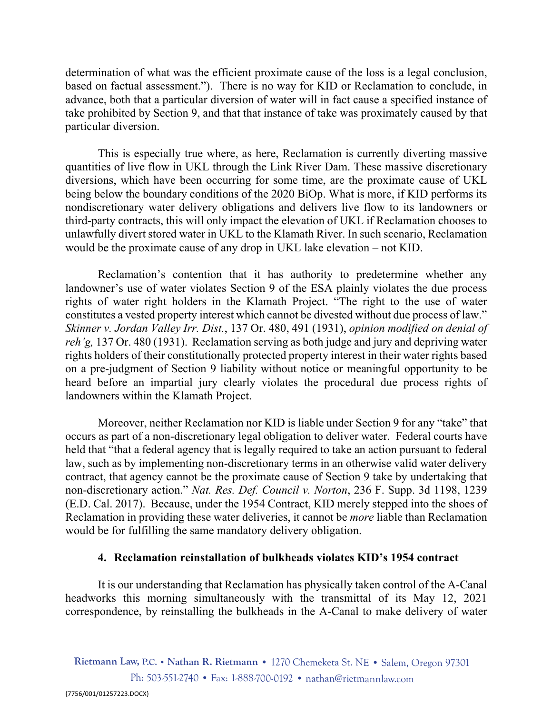take prohibited by Section 9, and that that instance of take was proximately caused by that determination of what was the efficient proximate cause of the loss is a legal conclusion, based on factual assessment."). There is no way for KID or Reclamation to conclude, in advance, both that a particular diversion of water will in fact cause a specified instance of particular diversion.

This is especially true where, as here, Reclamation is currently diverting massive quantities of live flow in UKL through the Link River Dam. These massive discretionary diversions, which have been occurring for some time, are the proximate cause of UKL being below the boundary conditions of the 2020 BiOp. What is more, if KID performs its nondiscretionary water delivery obligations and delivers live flow to its landowners or third-party contracts, this will only impact the elevation of UKL if Reclamation chooses to unlawfully divert stored water in UKL to the Klamath River. In such scenario, Reclamation would be the proximate cause of any drop in UKL lake elevation – not KID.

Reclamation's contention that it has authority to predetermine whether any landowner's use of water violates Section 9 of the ESA plainly violates the due process rights of water right holders in the Klamath Project. "The right to the use of water constitutes a vested property interest which cannot be divested without due process of law." *Skinner v. Jordan Valley Irr. Dist.*, 137 Or. 480, 491 (1931), *opinion modified on denial of reh'g,* 137 Or. 480 (1931). Reclamation serving as both judge and jury and depriving water rights holders of their constitutionally protected property interest in their water rights based on a pre-judgment of Section 9 liability without notice or meaningful opportunity to be heard before an impartial jury clearly violates the procedural due process rights of landowners within the Klamath Project.

Moreover, neither Reclamation nor KID is liable under Section 9 for any "take" that occurs as part of a non-discretionary legal obligation to deliver water. Federal courts have held that "that a federal agency that is legally required to take an action pursuant to federal law, such as by implementing non-discretionary terms in an otherwise valid water delivery contract, that agency cannot be the proximate cause of Section 9 take by undertaking that non-discretionary action." *Nat. Res. Def. Council v. Norton*, 236 F. Supp. 3d 1198, 1239 (E.D. Cal. 2017). Because, under the 1954 Contract, KID merely stepped into the shoes of Reclamation in providing these water deliveries, it cannot be *more* liable than Reclamation would be for fulfilling the same mandatory delivery obligation.

#### **4. Reclamation reinstallation of bulkheads violates KID's 1954 contract**

It is our understanding that Reclamation has physically taken control of the A-Canal headworks this morning simultaneously with the transmittal of its May 12, 2021 correspondence, by reinstalling the bulkheads in the A-Canal to make delivery of water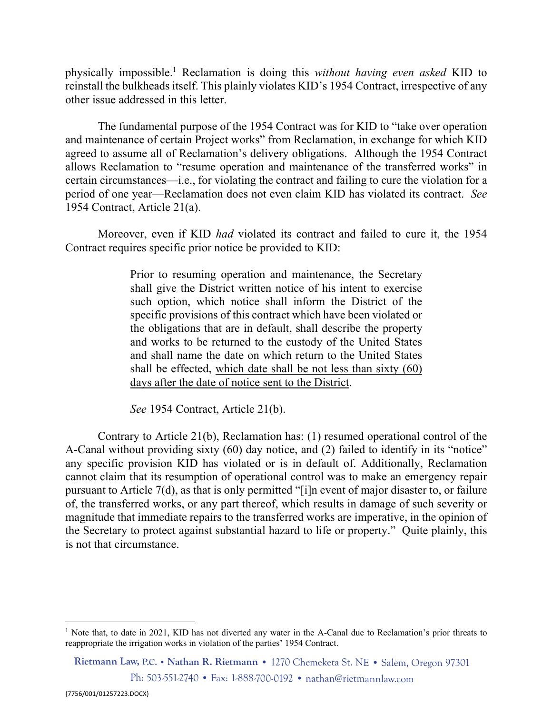physically impossible.1 Reclamation is doing this *without having even asked* KID to reinstall the bulkheads itself. This plainly violates KID's 1954 Contract, irrespective of any other issue addressed in this letter.

The fundamental purpose of the 1954 Contract was for KID to "take over operation and maintenance of certain Project works" from Reclamation, in exchange for which KID agreed to assume all of Reclamation's delivery obligations. Although the 1954 Contract allows Reclamation to "resume operation and maintenance of the transferred works" in certain circumstances—i.e., for violating the contract and failing to cure the violation for a period of one year—Reclamation does not even claim KID has violated its contract. *See*  1954 Contract, Article 21(a).

Moreover, even if KID *had* violated its contract and failed to cure it, the 1954 Contract requires specific prior notice be provided to KID:

> Prior to resuming operation and maintenance, the Secretary shall give the District written notice of his intent to exercise such option, which notice shall inform the District of the specific provisions of this contract which have been violated or the obligations that are in default, shall describe the property and works to be returned to the custody of the United States and shall name the date on which return to the United States shall be effected, which date shall be not less than sixty (60) days after the date of notice sent to the District.

*See* 1954 Contract, Article 21(b).

Contrary to Article 21(b), Reclamation has: (1) resumed operational control of the A-Canal without providing sixty (60) day notice, and (2) failed to identify in its "notice" any specific provision KID has violated or is in default of. Additionally, Reclamation cannot claim that its resumption of operational control was to make an emergency repair pursuant to Article 7(d), as that is only permitted "[i]n event of major disaster to, or failure of, the transferred works, or any part thereof, which results in damage of such severity or magnitude that immediate repairs to the transferred works are imperative, in the opinion of the Secretary to protect against substantial hazard to life or property." Quite plainly, this is not that circumstance.

<sup>&</sup>lt;sup>1</sup> Note that, to date in 2021, KID has not diverted any water in the A-Canal due to Reclamation's prior threats to reappropriate the irrigation works in violation of the parties' 1954 Contract.